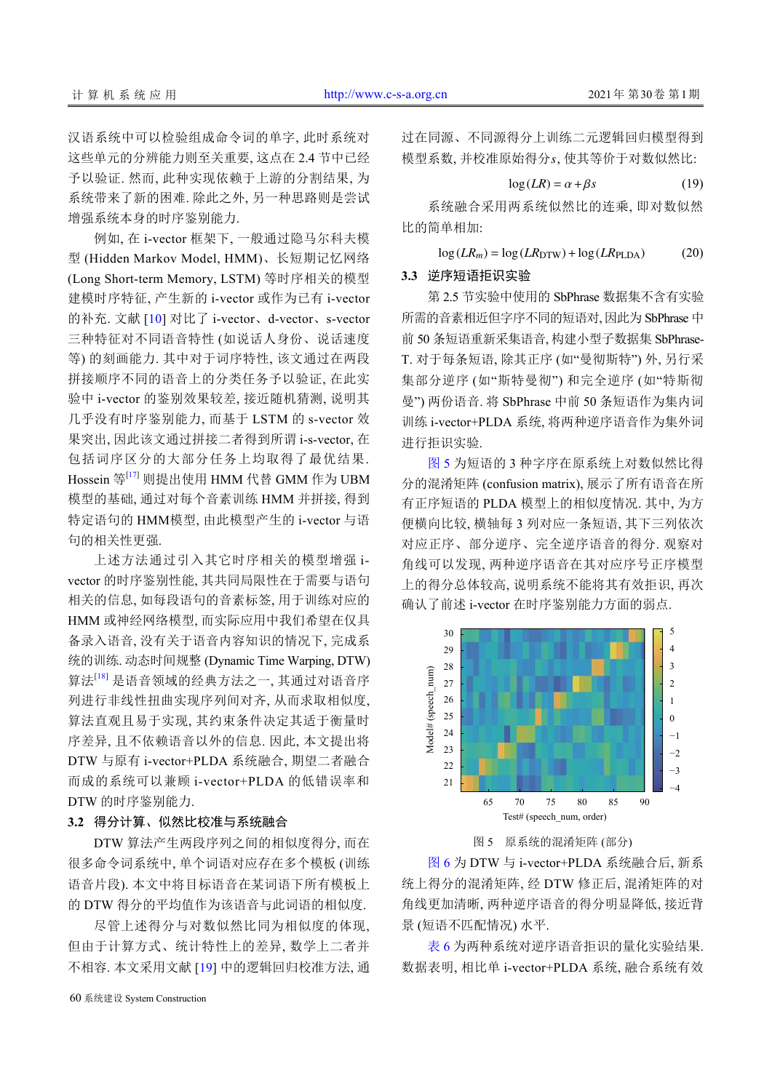汉语系统中可以检验组成命令词的单字, 此时系统对 这些单元的分辨能力则至关重要, 这点在 2.4 节中已经 予以验证. 然而, 此种实现依赖于上游的分割结果, 为 系统带来了新的困难. 除此之外, 另一种思路则是尝试 增强系统本身的时序鉴别能力.

例如, 在 i-vector 框架下, 一般通过隐马尔科夫模 型 (Hidden Markov Model, HMM)、长短期记忆网络 (Long Short-term Memory, LSTM) 等时序相关的模型 建模时序特征, 产生新的 i-vector 或作为已有 i-vector 的补充. 文献 [[10](#page-8-0)] 对比了 i-vector、d-vector、s-vector 三种特征对不同语音特性 (如说话人身份、说话速度 等) 的刻画能力. 其中对于词序特性, 该文通过在两段 拼接顺序不同的语音上的分类任务予以验证, 在此实 验中 i-vector 的鉴别效果较差, 接近随机猜测, 说明其 几乎没有时序鉴别能力, 而基于 LSTM 的 s-vector 效 果突出, 因此该文通过拼接二者得到所谓 i-s-vector, 在 包括词序区分的大部分任务上均取得了最优结果. Hossein 等[\[17](#page-8-1)] 则提出使用 HMM 代替 GMM 作为 UBM 模型的基础, 通过对每个音素训练 HMM 并拼接, 得到 特定语句的 HMM模型, 由此模型产生的 i-vector 与语 句的相关性更强.

上述方法通过引入其它时序相关的模型增强 ivector 的时序鉴别性能, 其共同局限性在于需要与语句 相关的信息, 如每段语句的音素标签, 用于训练对应的 HMM 或神经网络模型, 而实际应用中我们希望在仅具 备录入语音, 没有关于语音内容知识的情况下, 完成系 统的训练. 动态时间规整 (Dynamic Time Warping, DTW) 算法[[18](#page-8-2)] 是语音领域的经典方法之一, 其通过对语音序 列进行非线性扭曲实现序列间对齐, 从而求取相似度, 算法直观且易于实现, 其约束条件决定其适于衡量时 序差异, 且不依赖语音以外的信息. 因此, 本文提出将 DTW 与原有 i-vector+PLDA 系统融合, 期望二者融合 而成的系统可以兼顾 i-vector+PLDA 的低错误率和 DTW 的时序鉴别能力.

## **3.2** 得分计算、似然比校准与系统融合

DTW 算法产生两段序列之间的相似度得分, 而在 很多命令词系统中, 单个词语对应存在多个模板 (训练 语音片段). 本文中将目标语音在某词语下所有模板上 的 DTW 得分的平均值作为该语音与此词语的相似度.

尽管上述得分与对数似然比同为相似度的体现, 但由于计算方式、统计特性上的差异, 数学上二者并 不相容. 本文采用文献 [[19\]](#page-8-3) 中的逻辑回归校准方法, 通

60 系统建设 System Construction

模型系数, 并校准原始得分s, 使其等价于对数似然比: 过在同源、不同源得分上训练二元逻辑回归模型得到

$$
\log(LR) = \alpha + \beta s \tag{19}
$$

系统融合采用两系统似然比的连乘, 即对数似然 比的简单相加:

$$
\log(LR_m) = \log(LR_{\text{DTW}}) + \log(LR_{\text{PLDA}}) \tag{20}
$$

## **3.3** 逆序短语拒识实验

第 2.5 节实验中使用的 SbPhrase 数据集不含有实验 所需的音素相近但字序不同的短语对, 因此为 SbPhrase 中 前 50 条短语重新采集语音, 构建小型子数据集 SbPhrase-T. 对于每条短语, 除其正序 (如"曼彻斯特") 外, 另行采 集部分逆序 (如"斯特曼彻") 和完全逆序 (如"特斯彻 曼") 两份语音. 将 SbPhrase 中前 50 条短语作为集内词 训练 i-vector+PLDA 系统, 将两种逆序语音作为集外词 进行拒识实验.

[图](#page-6-0) [5](#page-6-0) 为短语的 3 种字序在原系统上对数似然比得 分的混淆矩阵 (confusion matrix), 展示了所有语音在所 有正序短语的 PLDA 模型上的相似度情况. 其中, 为方 便横向比较, 横轴每 3 列对应一条短语, 其下三列依次 对应正序、部分逆序、完全逆序语音的得分. 观察对 角线可以发现, 两种逆序语音在其对应序号正序模型 上的得分总体较高, 说明系统不能将其有效拒识, 再次 确认了前述 i-vector 在时序鉴别能力方面的弱点.





<span id="page-6-0"></span>[图](#page-7-0) [6](#page-7-0) 为 DTW 与 i-vector+PLDA 系统融合后, 新系 统上得分的混淆矩阵, 经 DTW 修正后, 混淆矩阵的对 角线更加清晰, 两种逆序语音的得分明显降低, 接近背 景 (短语不匹配情况) 水平.

[表](#page-7-1) [6](#page-7-1) 为两种系统对逆序语音拒识的量化实验结果. 数据表明, 相比单 i-vector+PLDA 系统, 融合系统有效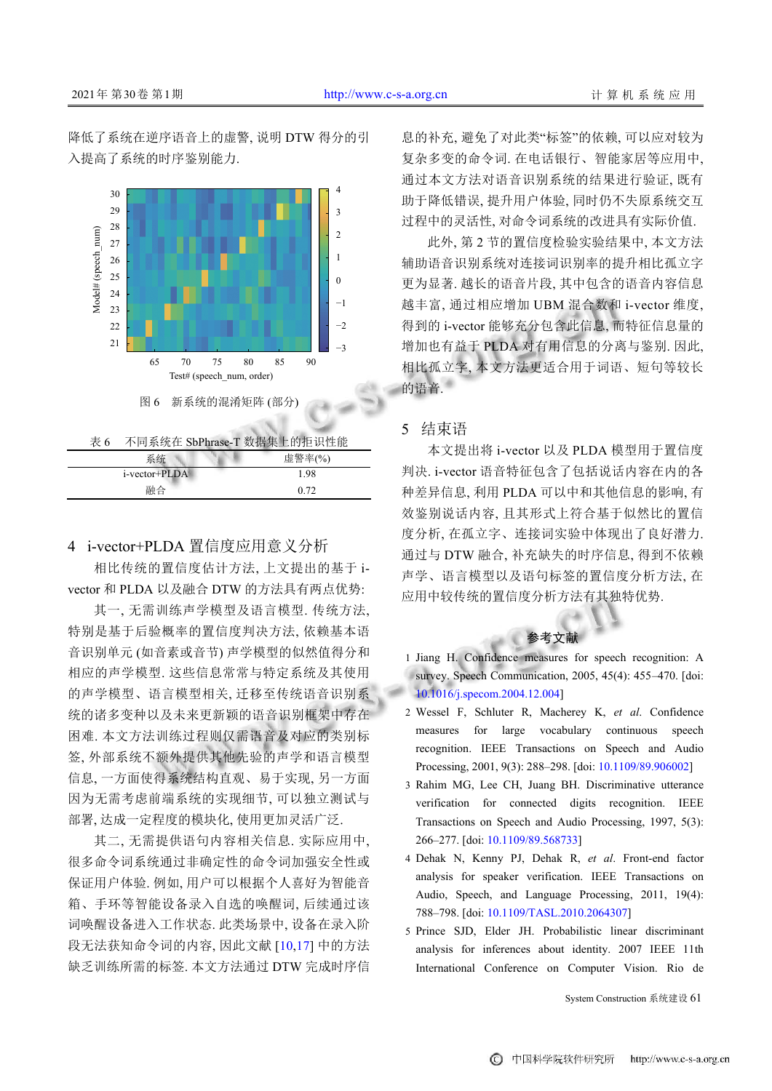降低了系统在逆序语音上的虚警, 说明 DTW 得分的引 入提高了系统的时序鉴别能力.



<span id="page-7-1"></span><span id="page-7-0"></span>表 6 不同系统在 SbPhrase-T 数据集上的拒识性能

| 系统            |  | 虚警率(%) |
|---------------|--|--------|
| i-vector+PLDA |  | 1.98   |
| 融合            |  | 0.72   |

## 4 i-vector+PLDA 置信度应用意义分析

相比传统的置信度估计方法, 上文提出的基于 ivector 和 PLDA 以及融合 DTW 的方法具有两点优势:

其一, 无需训练声学模型及语言模型. 传统方法, 特别是基于后验概率的置信度判决方法, 依赖基本语 音识别单元 (如音素或音节) 声学模型的似然值得分和 相应的声学模型. 这些信息常常与特定系统及其使用 的声学模型、语言模型相关, 迁移至传统语音识别系 统的诸多变种以及未来更新颖的语音识别框架中存在 困难. 本文方法训练过程则仅需语音及对应的类别标 签, 外部系统不额外提供其他先验的声学和语言模型 信息, 一方面使得系统结构直观、易于实现, 另一方面 因为无需考虑前端系统的实现细节, 可以独立测试与 部署, 达成一定程度的模块化, 使用更加灵活广泛.

其二, 无需提供语句内容相关信息. 实际应用中, 很多命令词系统通过非确定性的命令词加强安全性或 保证用户体验. 例如, 用户可以根据个人喜好为智能音 箱、手环等智能设备录入自选的唤醒词, 后续通过该 词唤醒设备进入工作状态. 此类场景中, 设备在录入阶 段无法获知命令词的内容, 因此文献 [[10](#page-8-0),[17\]](#page-8-1) 中的方法 缺乏训练所需的标签. 本文方法通过 DTW 完成时序信

息的补充, 避免了对此类"标签"的依赖, 可以应对较为 复杂多变的命令词. 在电话银行、智能家居等应用中, 通过本文方法对语音识别系统的结果进行验证, 既有 助于降低错误, 提升用户体验, 同时仍不失原系统交互 过程中的灵活性, 对命令词系统的改进具有实际价值.

此外, 第 2 节的置信度检验实验结果中, 本文方法 辅助语音识别系统对连接词识别率的提升相比孤立字 更为显著. 越长的语音片段, 其中包含的语音内容信息 越丰富, 通过相应增加 UBM 混合数和 i-vector 维度, 得到的 i-vector 能够充分包含此信息, 而特征信息量的 增加也有益于 PLDA 对有用信息的分离与鉴别. 因此, 相比孤立字, 本文方法更适合用于词语、短句等较长 的语音.

## 5 结束语

本文提出将 i-vector 以及 PLDA 模型用于置信度 判决. i-vector 语音特征包含了包括说话内容在内的各 种差异信息, 利用 PLDA 可以中和其他信息的影响, 有 效鉴别说话内容, 且其形式上符合基于似然比的置信 度分析, 在孤立字、连接词实验中体现出了良好潜力. 通过与 DTW 融合, 补充缺失的时序信息, 得到不依赖 声学、语言模型以及语句标签的置信度分析方法, 在 应用中较传统的置信度分析方法有其独特优势.

参考文献

- 1 Jiang H. Confidence measures for speech recognition: A survey. Speech Communication, 2005, 45(4): 455–470. [doi: [10.1016/j.specom.2004.12.004\]](http://dx.doi.org/10.1016/j.specom.2004.12.004)
- Wessel F, Schluter R, Macherey K, *et al*. Confidence 2 measures for large vocabulary continuous speech recognition. IEEE Transactions on Speech and Audio Processing, 2001, 9(3): 288–298. [doi: [10.1109/89.906002\]](http://dx.doi.org/10.1109/89.906002)
- 3 Rahim MG, Lee CH, Juang BH. Discriminative utterance verification for connected digits recognition. IEEE Transactions on Speech and Audio Processing, 1997, 5(3): 266–277. [doi: [10.1109/89.568733\]](http://dx.doi.org/10.1109/89.568733)
- Dehak N, Kenny PJ, Dehak R, *et al*. Front-end factor 4 analysis for speaker verification. IEEE Transactions on Audio, Speech, and Language Processing, 2011, 19(4): 788–798. [doi: [10.1109/TASL.2010.2064307](http://dx.doi.org/10.1109/TASL.2010.2064307)]
- 5 Prince SJD, Elder JH. Probabilistic linear discriminant analysis for inferences about identity. 2007 IEEE 11th International Conference on Computer Vision. Rio de

System Construction 系统建设 61